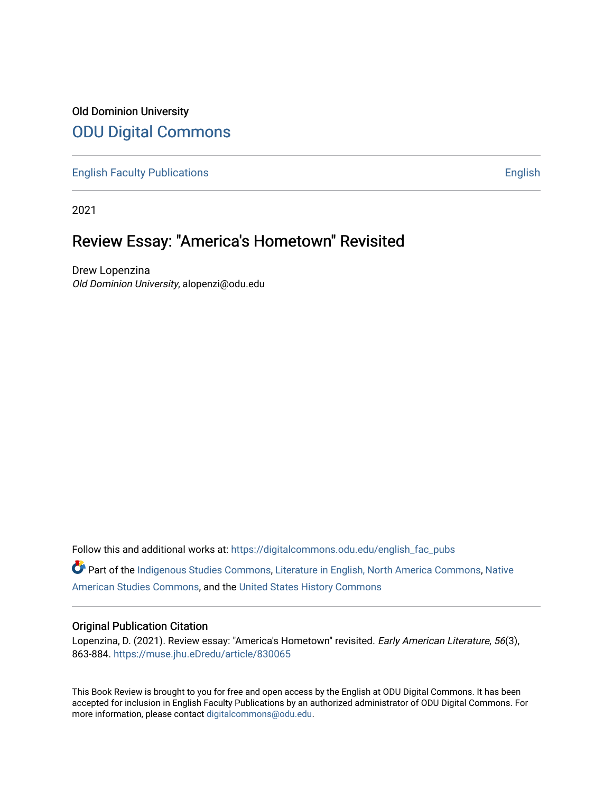## Old Dominion University [ODU Digital Commons](https://digitalcommons.odu.edu/)

[English Faculty Publications](https://digitalcommons.odu.edu/english_fac_pubs) **English** English

2021

# Review Essay: "America's Hometown" Revisited

Drew Lopenzina Old Dominion University, alopenzi@odu.edu

Follow this and additional works at: [https://digitalcommons.odu.edu/english\\_fac\\_pubs](https://digitalcommons.odu.edu/english_fac_pubs?utm_source=digitalcommons.odu.edu%2Fenglish_fac_pubs%2F186&utm_medium=PDF&utm_campaign=PDFCoverPages) 

Part of the [Indigenous Studies Commons,](http://network.bepress.com/hgg/discipline/571?utm_source=digitalcommons.odu.edu%2Fenglish_fac_pubs%2F186&utm_medium=PDF&utm_campaign=PDFCoverPages) [Literature in English, North America Commons](http://network.bepress.com/hgg/discipline/458?utm_source=digitalcommons.odu.edu%2Fenglish_fac_pubs%2F186&utm_medium=PDF&utm_campaign=PDFCoverPages), [Native](http://network.bepress.com/hgg/discipline/1434?utm_source=digitalcommons.odu.edu%2Fenglish_fac_pubs%2F186&utm_medium=PDF&utm_campaign=PDFCoverPages) [American Studies Commons,](http://network.bepress.com/hgg/discipline/1434?utm_source=digitalcommons.odu.edu%2Fenglish_fac_pubs%2F186&utm_medium=PDF&utm_campaign=PDFCoverPages) and the [United States History Commons](http://network.bepress.com/hgg/discipline/495?utm_source=digitalcommons.odu.edu%2Fenglish_fac_pubs%2F186&utm_medium=PDF&utm_campaign=PDFCoverPages)

### Original Publication Citation

Lopenzina, D. (2021). Review essay: "America's Hometown" revisited. Early American Literature, 56(3), 863-884. [https://muse.jhu.eDredu/article/830065](https://muse.jhu.edredu/article/830065) 

This Book Review is brought to you for free and open access by the English at ODU Digital Commons. It has been accepted for inclusion in English Faculty Publications by an authorized administrator of ODU Digital Commons. For more information, please contact [digitalcommons@odu.edu.](mailto:digitalcommons@odu.edu)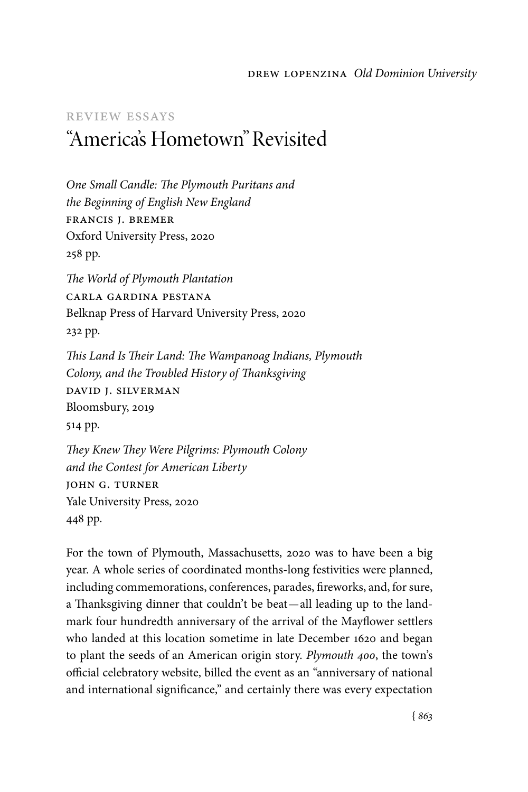#### drew lopenzina *Old Dominion University*

### review essays "America's Hometown" Revisited

*One Small Candle: The Plymouth Puritans and the Beginning of English New England* francis j. bremer Oxford University Press, 2020 258 pp.

*The World of Plymouth Plantation* carla gardina pestana Belknap Press of Harvard University Press, 2020 232 pp.

*This Land Is Their Land: The Wampanoag Indians, Plymouth Colony, and the Troubled History of Thanksgiving* david j. silverman Bloomsbury, 2019 514 pp.

*They Knew They Were Pilgrims: Plymouth Colony and the Contest for American Liberty* john g. turner Yale University Press, 2020 448 pp.

For the town of Plymouth, Massachusetts, 2020 was to have been a big year. A whole series of coordinated months-long festivities were planned, including commemorations, conferences, parades, fireworks, and, for sure, a Thanksgiving dinner that couldn't be beat—all leading up to the landmark four hundredth anniversary of the arrival of the Mayflower settlers who landed at this location sometime in late December 1620 and began to plant the seeds of an American origin story. *Plymouth 400*, the town's official celebratory website, billed the event as an "anniversary of national and international significance," and certainly there was every expectation

{ *863*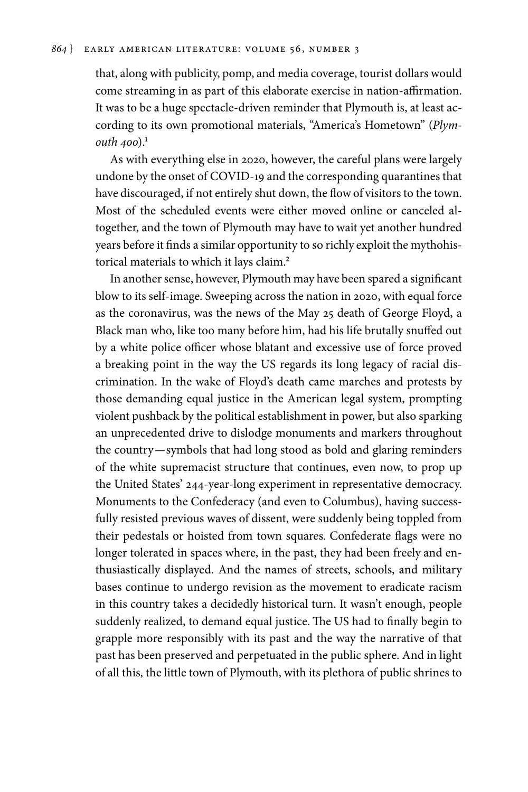that, along with publicity, pomp, and media coverage, tourist dollars would come streaming in as part of this elaborate exercise in nation-affirmation. It was to be a huge spectacle-driven reminder that Plymouth is, at least according to its own promotional materials, "America's Hometown" (*Plymouth 400*<sup>1</sup>

As with everything else in 2020, however, the careful plans were largely undone by the onset of COVID-19 and the corresponding quarantines that have discouraged, if not entirely shut down, the flow of visitors to the town. Most of the scheduled events were either moved online or canceled altogether, and the town of Plymouth may have to wait yet another hundred years before it finds a similar opportunity to so richly exploit the mythohistorical materials to which it lays claim.2

In another sense, however, Plymouth may have been spared a significant blow to its self-image. Sweeping across the nation in 2020, with equal force as the coronavirus, was the news of the May 25 death of George Floyd, a Black man who, like too many before him, had his life brutally snuffed out by a white police officer whose blatant and excessive use of force proved a breaking point in the way the US regards its long legacy of racial discrimination. In the wake of Floyd's death came marches and protests by those demanding equal justice in the American legal system, prompting violent pushback by the political establishment in power, but also sparking an unprecedented drive to dislodge monuments and markers throughout the country—symbols that had long stood as bold and glaring reminders of the white supremacist structure that continues, even now, to prop up the United States' 244-year-long experiment in representative democracy. Monuments to the Confederacy (and even to Columbus), having successfully resisted previous waves of dissent, were suddenly being toppled from their pedestals or hoisted from town squares. Confederate flags were no longer tolerated in spaces where, in the past, they had been freely and enthusiastically displayed. And the names of streets, schools, and military bases continue to undergo revision as the movement to eradicate racism in this country takes a decidedly historical turn. It wasn't enough, people suddenly realized, to demand equal justice. The US had to finally begin to grapple more responsibly with its past and the way the narrative of that past has been preserved and perpetuated in the public sphere. And in light of all this, the little town of Plymouth, with its plethora of public shrines to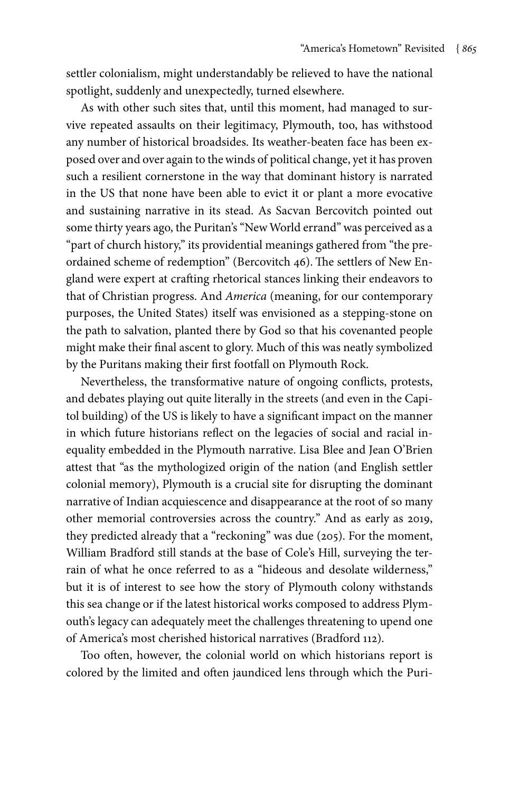settler colonialism, might understandably be relieved to have the national spotlight, suddenly and unexpectedly, turned elsewhere.

As with other such sites that, until this moment, had managed to survive repeated assaults on their legitimacy, Plymouth, too, has withstood any number of historical broadsides. Its weather-beaten face has been exposed over and over again to the winds of political change, yet it has proven such a resilient cornerstone in the way that dominant history is narrated in the US that none have been able to evict it or plant a more evocative and sustaining narrative in its stead. As Sacvan Bercovitch pointed out some thirty years ago, the Puritan's "New World errand" was perceived as a "part of church history," its providential meanings gathered from "the preordained scheme of redemption" (Bercovitch 46). The settlers of New England were expert at crafting rhetorical stances linking their endeavors to that of Christian progress. And *America* (meaning, for our contemporary purposes, the United States) itself was envisioned as a stepping-stone on the path to salvation, planted there by God so that his covenanted people might make their final ascent to glory. Much of this was neatly symbolized by the Puritans making their first footfall on Plymouth Rock.

Nevertheless, the transformative nature of ongoing conflicts, protests, and debates playing out quite literally in the streets (and even in the Capitol building) of the US is likely to have a significant impact on the manner in which future historians reflect on the legacies of social and racial inequality embedded in the Plymouth narrative. Lisa Blee and Jean O'Brien attest that "as the mythologized origin of the nation (and English settler colonial memory), Plymouth is a crucial site for disrupting the dominant narrative of Indian acquiescence and disappearance at the root of so many other memorial controversies across the country." And as early as 2019, they predicted already that a "reckoning" was due (205). For the moment, William Bradford still stands at the base of Cole's Hill, surveying the terrain of what he once referred to as a "hideous and desolate wilderness," but it is of interest to see how the story of Plymouth colony withstands this sea change or if the latest historical works composed to address Plymouth's legacy can adequately meet the challenges threatening to upend one of America's most cherished historical narratives (Bradford 112).

Too often, however, the colonial world on which historians report is colored by the limited and often jaundiced lens through which the Puri-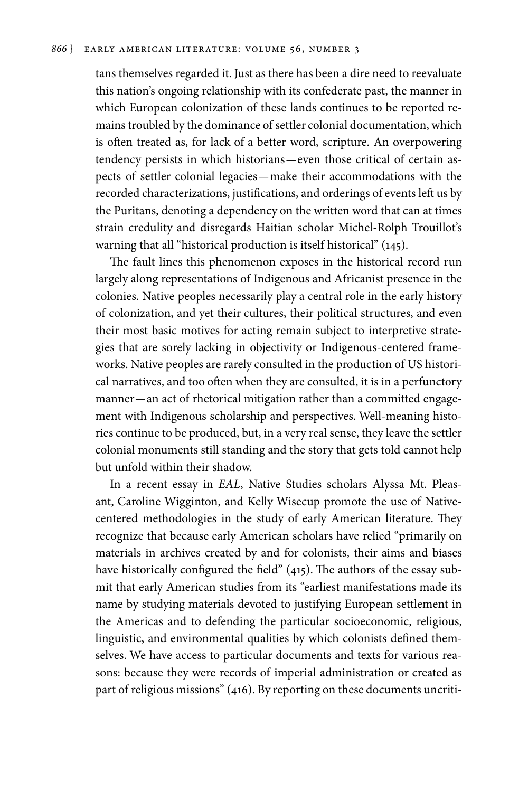tans themselves regarded it. Just as there has been a dire need to reevaluate this nation's ongoing relationship with its confederate past, the manner in which European colonization of these lands continues to be reported remains troubled by the dominance of settler colonial documentation, which is often treated as, for lack of a better word, scripture. An overpowering tendency persists in which historians—even those critical of certain aspects of settler colonial legacies—make their accommodations with the recorded characterizations, justifications, and orderings of events left us by the Puritans, denoting a dependency on the written word that can at times strain credulity and disregards Haitian scholar Michel-Rolph Trouillot's warning that all "historical production is itself historical" (145).

The fault lines this phenomenon exposes in the historical record run largely along representations of Indigenous and Africanist presence in the colonies. Native peoples necessarily play a central role in the early history of colonization, and yet their cultures, their political structures, and even their most basic motives for acting remain subject to interpretive strategies that are sorely lacking in objectivity or Indigenous-centered frameworks. Native peoples are rarely consulted in the production of US historical narratives, and too often when they are consulted, it is in a perfunctory manner—an act of rhetorical mitigation rather than a committed engagement with Indigenous scholarship and perspectives. Well-meaning histories continue to be produced, but, in a very real sense, they leave the settler colonial monuments still standing and the story that gets told cannot help but unfold within their shadow.

In a recent essay in *EAL*, Native Studies scholars Alyssa Mt. Pleasant, Caroline Wigginton, and Kelly Wisecup promote the use of Nativecentered methodologies in the study of early American literature. They recognize that because early American scholars have relied "primarily on materials in archives created by and for colonists, their aims and biases have historically configured the field" (415). The authors of the essay submit that early American studies from its "earliest manifestations made its name by studying materials devoted to justifying European settlement in the Americas and to defending the particular socioeconomic, religious, linguistic, and environmental qualities by which colonists defined themselves. We have access to particular documents and texts for various reasons: because they were records of imperial administration or created as part of religious missions" (416). By reporting on these documents uncriti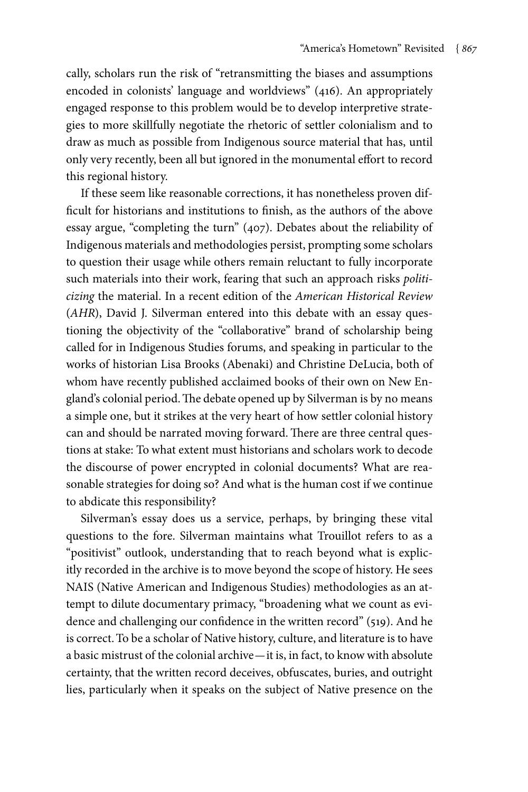cally, scholars run the risk of "retransmitting the biases and assumptions encoded in colonists' language and worldviews" (416). An appropriately engaged response to this problem would be to develop interpretive strategies to more skillfully negotiate the rhetoric of settler colonialism and to draw as much as possible from Indigenous source material that has, until only very recently, been all but ignored in the monumental effort to record this regional history.

If these seem like reasonable corrections, it has nonetheless proven difficult for historians and institutions to finish, as the authors of the above essay argue, "completing the turn" (407). Debates about the reliability of Indigenous materials and methodologies persist, prompting some scholars to question their usage while others remain reluctant to fully incorporate such materials into their work, fearing that such an approach risks *politicizing* the material. In a recent edition of the *American Historical Review* (*AHR*), David J. Silverman entered into this debate with an essay questioning the objectivity of the "collaborative" brand of scholarship being called for in Indigenous Studies forums, and speaking in particular to the works of historian Lisa Brooks (Abenaki) and Christine DeLucia, both of whom have recently published acclaimed books of their own on New England's colonial period. The debate opened up by Silverman is by no means a simple one, but it strikes at the very heart of how settler colonial history can and should be narrated moving forward. There are three central questions at stake: To what extent must historians and scholars work to decode the discourse of power encrypted in colonial documents? What are reasonable strategies for doing so? And what is the human cost if we continue to abdicate this responsibility?

Silverman's essay does us a service, perhaps, by bringing these vital questions to the fore. Silverman maintains what Trouillot refers to as a "positivist" outlook, understanding that to reach beyond what is explicitly recorded in the archive is to move beyond the scope of history. He sees NAIS (Native American and Indigenous Studies) methodologies as an attempt to dilute documentary primacy, "broadening what we count as evidence and challenging our confidence in the written record" (519). And he is correct. To be a scholar of Native history, culture, and literature is to have a basic mistrust of the colonial archive—it is, in fact, to know with absolute certainty, that the written record deceives, obfuscates, buries, and outright lies, particularly when it speaks on the subject of Native presence on the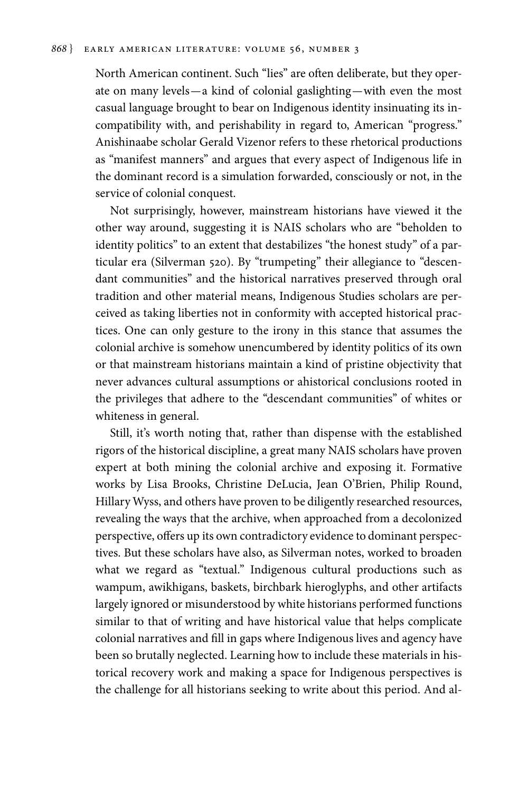#### *868* } EARLY AMERICAN LITERATURE: VOLUME 56, Number 3

North American continent. Such "lies" are often deliberate, but they operate on many levels—a kind of colonial gaslighting—with even the most casual language brought to bear on Indigenous identity insinuating its incompatibility with, and perishability in regard to, American "progress." Anishinaabe scholar Gerald Vizenor refers to these rhetorical productions as "manifest manners" and argues that every aspect of Indigenous life in the dominant record is a simulation forwarded, consciously or not, in the service of colonial conquest.

Not surprisingly, however, mainstream historians have viewed it the other way around, suggesting it is NAIS scholars who are "beholden to identity politics" to an extent that destabilizes "the honest study" of a particular era (Silverman 520). By "trumpeting" their allegiance to "descendant communities" and the historical narratives preserved through oral tradition and other material means, Indigenous Studies scholars are perceived as taking liberties not in conformity with accepted historical practices. One can only gesture to the irony in this stance that assumes the colonial archive is somehow unencumbered by identity politics of its own or that mainstream historians maintain a kind of pristine objectivity that never advances cultural assumptions or ahistorical conclusions rooted in the privileges that adhere to the "descendant communities" of whites or whiteness in general.

Still, it's worth noting that, rather than dispense with the established rigors of the historical discipline, a great many NAIS scholars have proven expert at both mining the colonial archive and exposing it. Formative works by Lisa Brooks, Christine DeLucia, Jean O'Brien, Philip Round, Hillary Wyss, and others have proven to be diligently researched resources, revealing the ways that the archive, when approached from a decolonized perspective, offers up its own contradictory evidence to dominant perspectives. But these scholars have also, as Silverman notes, worked to broaden what we regard as "textual." Indigenous cultural productions such as wampum, awikhigans, baskets, birchbark hieroglyphs, and other artifacts largely ignored or misunderstood by white historians performed functions similar to that of writing and have historical value that helps complicate colonial narratives and fill in gaps where Indigenous lives and agency have been so brutally neglected. Learning how to include these materials in historical recovery work and making a space for Indigenous perspectives is the challenge for all historians seeking to write about this period. And al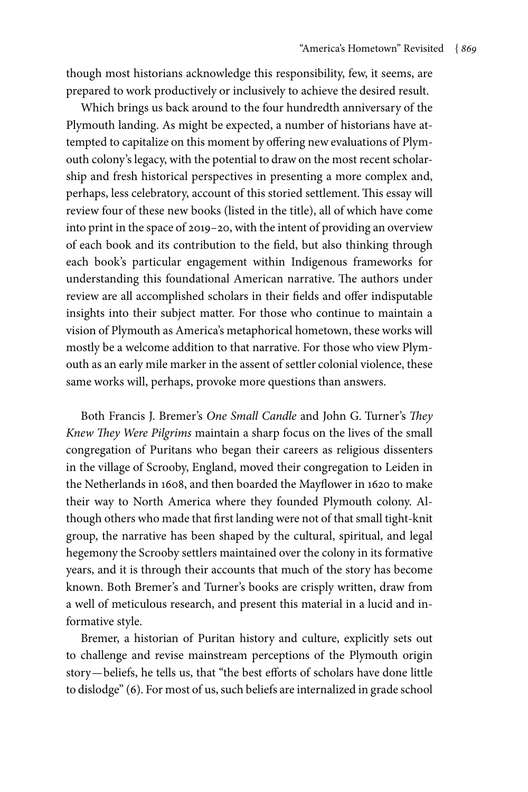though most historians acknowledge this responsibility, few, it seems, are prepared to work productively or inclusively to achieve the desired result.

Which brings us back around to the four hundredth anniversary of the Plymouth landing. As might be expected, a number of historians have attempted to capitalize on this moment by offering new evaluations of Plymouth colony's legacy, with the potential to draw on the most recent scholarship and fresh historical perspectives in presenting a more complex and, perhaps, less celebratory, account of this storied settlement. This essay will review four of these new books (listed in the title), all of which have come into print in the space of 2019–20, with the intent of providing an overview of each book and its contribution to the field, but also thinking through each book's particular engagement within Indigenous frameworks for understanding this foundational American narrative. The authors under review are all accomplished scholars in their fields and offer indisputable insights into their subject matter. For those who continue to maintain a vision of Plymouth as America's metaphorical hometown, these works will mostly be a welcome addition to that narrative. For those who view Plymouth as an early mile marker in the assent of settler colonial violence, these same works will, perhaps, provoke more questions than answers.

Both Francis J. Bremer's *One Small Candle* and John G. Turner's *They Knew They Were Pilgrims* maintain a sharp focus on the lives of the small congregation of Puritans who began their careers as religious dissenters in the village of Scrooby, England, moved their congregation to Leiden in the Netherlands in 1608, and then boarded the Mayflower in 1620 to make their way to North America where they founded Plymouth colony. Although others who made that first landing were not of that small tight-knit group, the narrative has been shaped by the cultural, spiritual, and legal hegemony the Scrooby settlers maintained over the colony in its formative years, and it is through their accounts that much of the story has become known. Both Bremer's and Turner's books are crisply written, draw from a well of meticulous research, and present this material in a lucid and informative style.

Bremer, a historian of Puritan history and culture, explicitly sets out to challenge and revise mainstream perceptions of the Plymouth origin story—beliefs, he tells us, that "the best efforts of scholars have done little to dislodge" (6). For most of us, such beliefs are internalized in grade school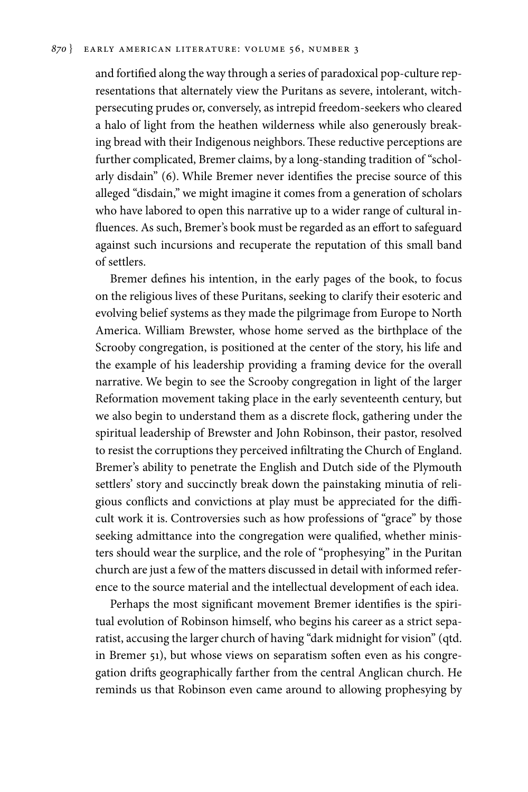#### *870* } EARLY AMERICAN LITERATURE: VOLUME 56, Number 3

and fortified along the way through a series of paradoxical pop-culture representations that alternately view the Puritans as severe, intolerant, witchpersecuting prudes or, conversely, as intrepid freedom-seekers who cleared a halo of light from the heathen wilderness while also generously breaking bread with their Indigenous neighbors. These reductive perceptions are further complicated, Bremer claims, by a long-standing tradition of "scholarly disdain" (6). While Bremer never identifies the precise source of this alleged "disdain," we might imagine it comes from a generation of scholars who have labored to open this narrative up to a wider range of cultural influences. As such, Bremer's book must be regarded as an effort to safeguard against such incursions and recuperate the reputation of this small band of settlers.

Bremer defines his intention, in the early pages of the book, to focus on the religious lives of these Puritans, seeking to clarify their esoteric and evolving belief systems as they made the pilgrimage from Europe to North America. William Brewster, whose home served as the birthplace of the Scrooby congregation, is positioned at the center of the story, his life and the example of his leadership providing a framing device for the overall narrative. We begin to see the Scrooby congregation in light of the larger Reformation movement taking place in the early seventeenth century, but we also begin to understand them as a discrete flock, gathering under the spiritual leadership of Brewster and John Robinson, their pastor, resolved to resist the corruptions they perceived infiltrating the Church of England. Bremer's ability to penetrate the English and Dutch side of the Plymouth settlers' story and succinctly break down the painstaking minutia of religious conflicts and convictions at play must be appreciated for the difficult work it is. Controversies such as how professions of "grace" by those seeking admittance into the congregation were qualified, whether ministers should wear the surplice, and the role of "prophesying" in the Puritan church are just a few of the matters discussed in detail with informed reference to the source material and the intellectual development of each idea.

Perhaps the most significant movement Bremer identifies is the spiritual evolution of Robinson himself, who begins his career as a strict separatist, accusing the larger church of having "dark midnight for vision" (qtd. in Bremer 51), but whose views on separatism soften even as his congregation drifts geographically farther from the central Anglican church. He reminds us that Robinson even came around to allowing prophesying by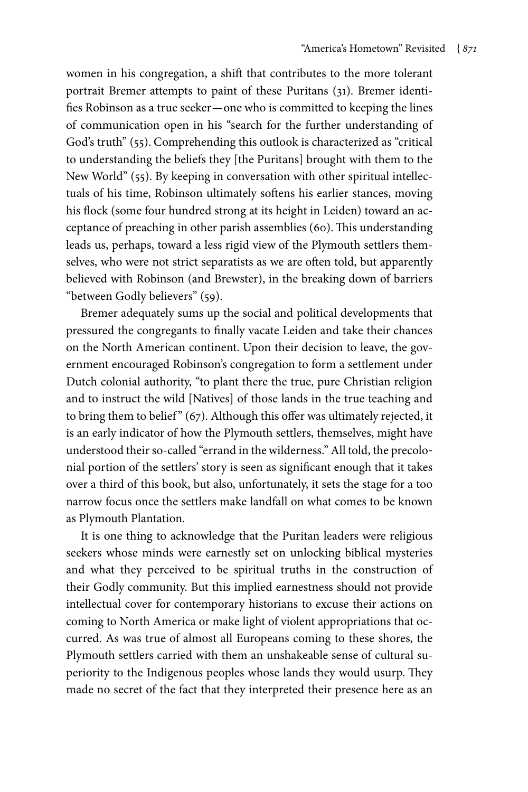women in his congregation, a shift that contributes to the more tolerant portrait Bremer attempts to paint of these Puritans (31). Bremer identifies Robinson as a true seeker—one who is committed to keeping the lines of communication open in his "search for the further understanding of God's truth" (55). Comprehending this outlook is characterized as "critical to understanding the beliefs they [the Puritans] brought with them to the New World" (55). By keeping in conversation with other spiritual intellectuals of his time, Robinson ultimately softens his earlier stances, moving his flock (some four hundred strong at its height in Leiden) toward an acceptance of preaching in other parish assemblies (60). This understanding leads us, perhaps, toward a less rigid view of the Plymouth settlers themselves, who were not strict separatists as we are often told, but apparently believed with Robinson (and Brewster), in the breaking down of barriers "between Godly believers" (59).

Bremer adequately sums up the social and political developments that pressured the congregants to finally vacate Leiden and take their chances on the North American continent. Upon their decision to leave, the government encouraged Robinson's congregation to form a settlement under Dutch colonial authority, "to plant there the true, pure Christian religion and to instruct the wild [Natives] of those lands in the true teaching and to bring them to belief" (67). Although this offer was ultimately rejected, it is an early indicator of how the Plymouth settlers, themselves, might have understood their so-called "errand in the wilderness." All told, the precolonial portion of the settlers' story is seen as significant enough that it takes over a third of this book, but also, unfortunately, it sets the stage for a too narrow focus once the settlers make landfall on what comes to be known as Plymouth Plantation.

It is one thing to acknowledge that the Puritan leaders were religious seekers whose minds were earnestly set on unlocking biblical mysteries and what they perceived to be spiritual truths in the construction of their Godly community. But this implied earnestness should not provide intellectual cover for contemporary historians to excuse their actions on coming to North America or make light of violent appropriations that occurred. As was true of almost all Europeans coming to these shores, the Plymouth settlers carried with them an unshakeable sense of cultural superiority to the Indigenous peoples whose lands they would usurp. They made no secret of the fact that they interpreted their presence here as an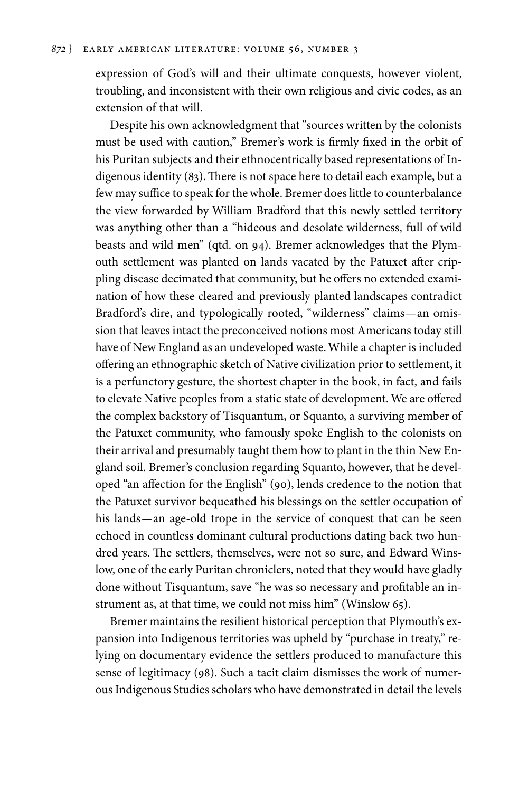expression of God's will and their ultimate conquests, however violent, troubling, and inconsistent with their own religious and civic codes, as an extension of that will.

Despite his own acknowledgment that "sources written by the colonists must be used with caution," Bremer's work is firmly fixed in the orbit of his Puritan subjects and their ethnocentrically based representations of Indigenous identity (83). There is not space here to detail each example, but a few may suffice to speak for the whole. Bremer does little to counterbalance the view forwarded by William Bradford that this newly settled territory was anything other than a "hideous and desolate wilderness, full of wild beasts and wild men" (qtd. on 94). Bremer acknowledges that the Plymouth settlement was planted on lands vacated by the Patuxet after crippling disease decimated that community, but he offers no extended examination of how these cleared and previously planted landscapes contradict Bradford's dire, and typologically rooted, "wilderness" claims—an omission that leaves intact the preconceived notions most Americans today still have of New England as an undeveloped waste. While a chapter is included offering an ethnographic sketch of Native civilization prior to settlement, it is a perfunctory gesture, the shortest chapter in the book, in fact, and fails to elevate Native peoples from a static state of development. We are offered the complex backstory of Tisquantum, or Squanto, a surviving member of the Patuxet community, who famously spoke English to the colonists on their arrival and presumably taught them how to plant in the thin New England soil. Bremer's conclusion regarding Squanto, however, that he developed "an affection for the English" (90), lends credence to the notion that the Patuxet survivor bequeathed his blessings on the settler occupation of his lands—an age-old trope in the service of conquest that can be seen echoed in countless dominant cultural productions dating back two hundred years. The settlers, themselves, were not so sure, and Edward Winslow, one of the early Puritan chroniclers, noted that they would have gladly done without Tisquantum, save "he was so necessary and profitable an instrument as, at that time, we could not miss him" (Winslow 65).

Bremer maintains the resilient historical perception that Plymouth's expansion into Indigenous territories was upheld by "purchase in treaty," relying on documentary evidence the settlers produced to manufacture this sense of legitimacy (98). Such a tacit claim dismisses the work of numerous Indigenous Studies scholars who have demonstrated in detail the levels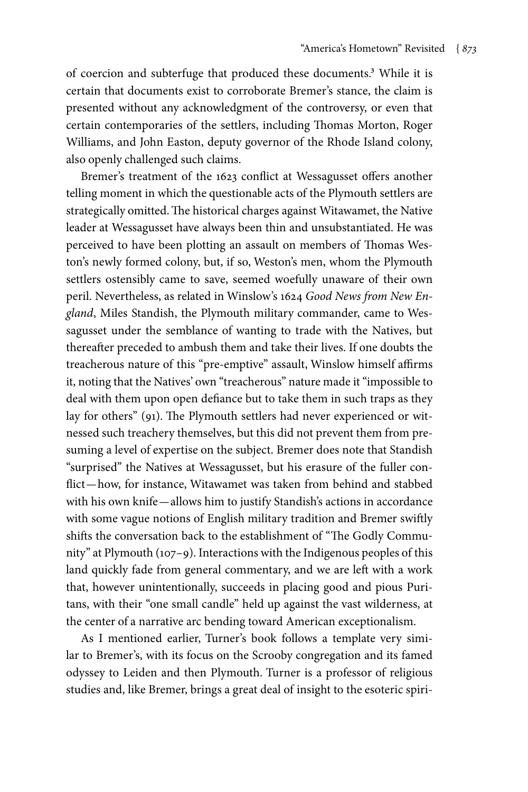of coercion and subterfuge that produced these documents.<sup>3</sup> While it is certain that documents exist to corroborate Bremer's stance, the claim is presented without any acknowledgment of the controversy, or even that certain contemporaries of the settlers, including Thomas Morton, Roger Williams, and John Easton, deputy governor of the Rhode Island colony, also openly challenged such claims.

Bremer's treatment of the 1623 conflict at Wessagusset offers another telling moment in which the questionable acts of the Plymouth settlers are strategically omitted. The historical charges against Witawamet, the Native leader at Wessagusset have always been thin and unsubstantiated. He was perceived to have been plotting an assault on members of Thomas Weston's newly formed colony, but, if so, Weston's men, whom the Plymouth settlers ostensibly came to save, seemed woefully unaware of their own peril. Nevertheless, as related in Winslow's 1624 *Good News from New England*, Miles Standish, the Plymouth military commander, came to Wessagusset under the semblance of wanting to trade with the Natives, but thereafter preceded to ambush them and take their lives. If one doubts the treacherous nature of this "pre-emptive" assault, Winslow himself affirms it, noting that the Natives' own "treacherous" nature made it "impossible to deal with them upon open defiance but to take them in such traps as they lay for others" (91). The Plymouth settlers had never experienced or witnessed such treachery themselves, but this did not prevent them from presuming a level of expertise on the subject. Bremer does note that Standish "surprised" the Natives at Wessagusset, but his erasure of the fuller conflict—how, for instance, Witawamet was taken from behind and stabbed with his own knife—allows him to justify Standish's actions in accordance with some vague notions of English military tradition and Bremer swiftly shifts the conversation back to the establishment of "The Godly Community" at Plymouth (107–9). Interactions with the Indigenous peoples of this land quickly fade from general commentary, and we are left with a work that, however unintentionally, succeeds in placing good and pious Puritans, with their "one small candle" held up against the vast wilderness, at the center of a narrative arc bending toward American exceptionalism.

As I mentioned earlier, Turner's book follows a template very similar to Bremer's, with its focus on the Scrooby congregation and its famed odyssey to Leiden and then Plymouth. Turner is a professor of religious studies and, like Bremer, brings a great deal of insight to the esoteric spiri-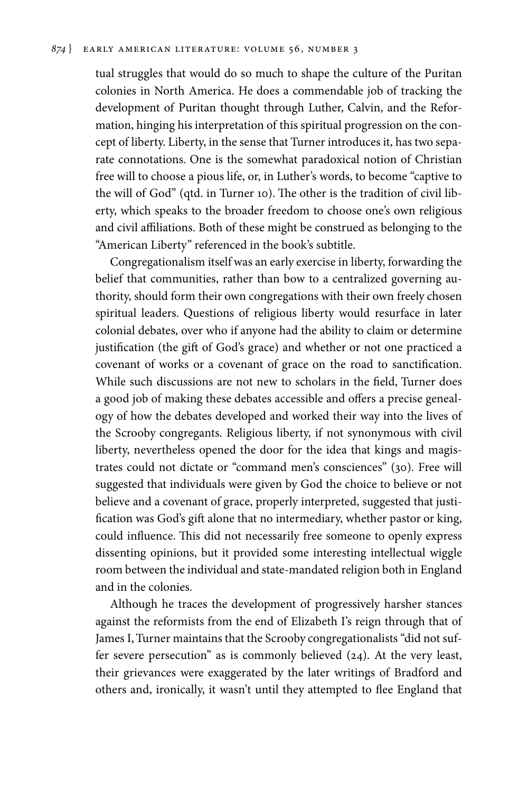#### *874* } EARLY AMERICAN LITERATURE: VOLUME 56, Number 3

tual struggles that would do so much to shape the culture of the Puritan colonies in North America. He does a commendable job of tracking the development of Puritan thought through Luther, Calvin, and the Reformation, hinging his interpretation of this spiritual progression on the concept of liberty. Liberty, in the sense that Turner introduces it, has two separate connotations. One is the somewhat paradoxical notion of Christian free will to choose a pious life, or, in Luther's words, to become "captive to the will of God" (qtd. in Turner 10). The other is the tradition of civil liberty, which speaks to the broader freedom to choose one's own religious and civil affiliations. Both of these might be construed as belonging to the "American Liberty" referenced in the book's subtitle.

Congregationalism itself was an early exercise in liberty, forwarding the belief that communities, rather than bow to a centralized governing authority, should form their own congregations with their own freely chosen spiritual leaders. Questions of religious liberty would resurface in later colonial debates, over who if anyone had the ability to claim or determine justification (the gift of God's grace) and whether or not one practiced a covenant of works or a covenant of grace on the road to sanctification. While such discussions are not new to scholars in the field, Turner does a good job of making these debates accessible and offers a precise genealogy of how the debates developed and worked their way into the lives of the Scrooby congregants. Religious liberty, if not synonymous with civil liberty, nevertheless opened the door for the idea that kings and magistrates could not dictate or "command men's consciences" (30). Free will suggested that individuals were given by God the choice to believe or not believe and a covenant of grace, properly interpreted, suggested that justification was God's gift alone that no intermediary, whether pastor or king, could influence. This did not necessarily free someone to openly express dissenting opinions, but it provided some interesting intellectual wiggle room between the individual and state-mandated religion both in England and in the colonies.

Although he traces the development of progressively harsher stances against the reformists from the end of Elizabeth I's reign through that of James I, Turner maintains that the Scrooby congregationalists "did not suffer severe persecution" as is commonly believed (24). At the very least, their grievances were exaggerated by the later writings of Bradford and others and, ironically, it wasn't until they attempted to flee England that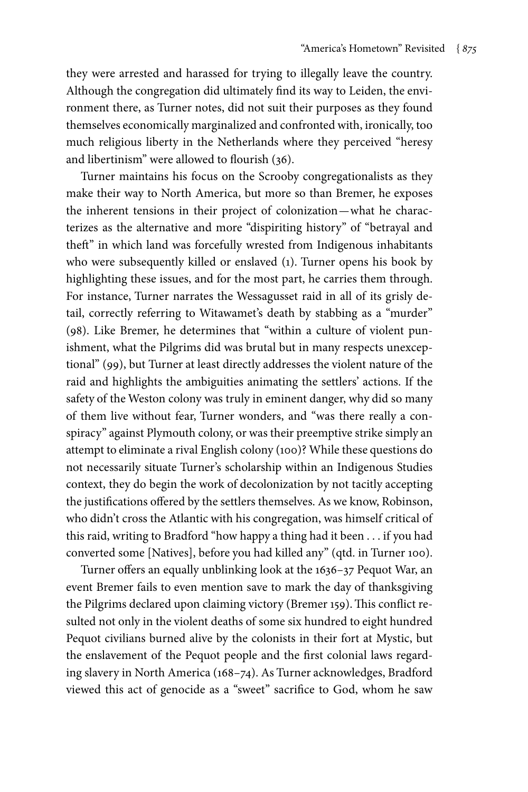they were arrested and harassed for trying to illegally leave the country. Although the congregation did ultimately find its way to Leiden, the environment there, as Turner notes, did not suit their purposes as they found themselves economically marginalized and confronted with, ironically, too much religious liberty in the Netherlands where they perceived "heresy and libertinism" were allowed to flourish (36).

Turner maintains his focus on the Scrooby congregationalists as they make their way to North America, but more so than Bremer, he exposes the inherent tensions in their project of colonization—what he characterizes as the alternative and more "dispiriting history" of "betrayal and theft" in which land was forcefully wrested from Indigenous inhabitants who were subsequently killed or enslaved (1). Turner opens his book by highlighting these issues, and for the most part, he carries them through. For instance, Turner narrates the Wessagusset raid in all of its grisly detail, correctly referring to Witawamet's death by stabbing as a "murder" (98). Like Bremer, he determines that "within a culture of violent punishment, what the Pilgrims did was brutal but in many respects unexceptional" (99), but Turner at least directly addresses the violent nature of the raid and highlights the ambiguities animating the settlers' actions. If the safety of the Weston colony was truly in eminent danger, why did so many of them live without fear, Turner wonders, and "was there really a conspiracy" against Plymouth colony, or was their preemptive strike simply an attempt to eliminate a rival English colony (100)? While these questions do not necessarily situate Turner's scholarship within an Indigenous Studies context, they do begin the work of decolonization by not tacitly accepting the justifications offered by the settlers themselves. As we know, Robinson, who didn't cross the Atlantic with his congregation, was himself critical of this raid, writing to Bradford "how happy a thing had it been . . . if you had converted some [Natives], before you had killed any" (qtd. in Turner 100).

Turner offers an equally unblinking look at the 1636–37 Pequot War, an event Bremer fails to even mention save to mark the day of thanksgiving the Pilgrims declared upon claiming victory (Bremer 159). This conflict resulted not only in the violent deaths of some six hundred to eight hundred Pequot civilians burned alive by the colonists in their fort at Mystic, but the enslavement of the Pequot people and the first colonial laws regarding slavery in North America (168–74). As Turner acknowledges, Bradford viewed this act of genocide as a "sweet" sacrifice to God, whom he saw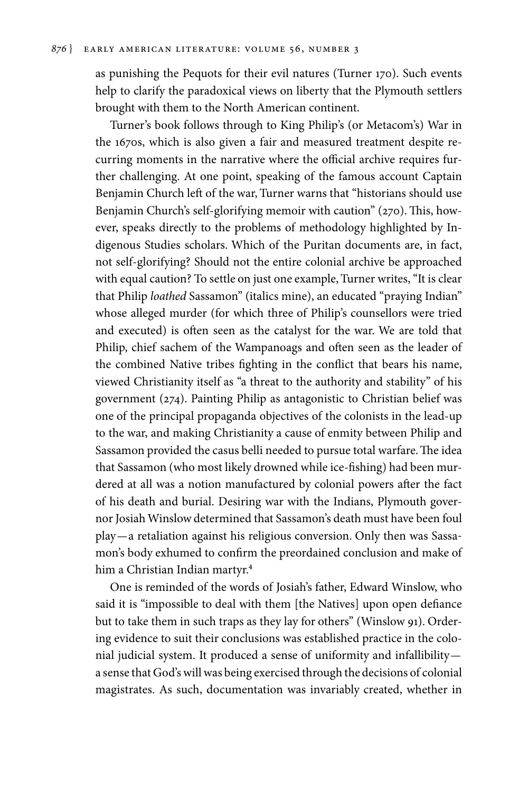as punishing the Pequots for their evil natures (Turner 170). Such events help to clarify the paradoxical views on liberty that the Plymouth settlers brought with them to the North American continent.

Turner's book follows through to King Philip's (or Metacom's) War in the 1670s, which is also given a fair and measured treatment despite recurring moments in the narrative where the official archive requires further challenging. At one point, speaking of the famous account Captain Benjamin Church left of the war, Turner warns that "historians should use Benjamin Church's self-glorifying memoir with caution" (270). This, however, speaks directly to the problems of methodology highlighted by Indigenous Studies scholars. Which of the Puritan documents are, in fact, not self-glorifying? Should not the entire colonial archive be approached with equal caution? To settle on just one example, Turner writes, "It is clear that Philip *loathed* Sassamon" (italics mine), an educated "praying Indian" whose alleged murder (for which three of Philip's counsellors were tried and executed) is often seen as the catalyst for the war. We are told that Philip, chief sachem of the Wampanoags and often seen as the leader of the combined Native tribes fighting in the conflict that bears his name, viewed Christianity itself as "a threat to the authority and stability" of his government (274). Painting Philip as antagonistic to Christian belief was one of the principal propaganda objectives of the colonists in the lead-up to the war, and making Christianity a cause of enmity between Philip and Sassamon provided the casus belli needed to pursue total warfare. The idea that Sassamon (who most likely drowned while ice-fishing) had been murdered at all was a notion manufactured by colonial powers after the fact of his death and burial. Desiring war with the Indians, Plymouth governor Josiah Winslow determined that Sassamon's death must have been foul play—a retaliation against his religious conversion. Only then was Sassamon's body exhumed to confirm the preordained conclusion and make of him a Christian Indian martyr.4

One is reminded of the words of Josiah's father, Edward Winslow, who said it is "impossible to deal with them [the Natives] upon open defiance but to take them in such traps as they lay for others" (Winslow 91). Ordering evidence to suit their conclusions was established practice in the colonial judicial system. It produced a sense of uniformity and infallibility a sense that God's will was being exercised through the decisions of colonial magistrates. As such, documentation was invariably created, whether in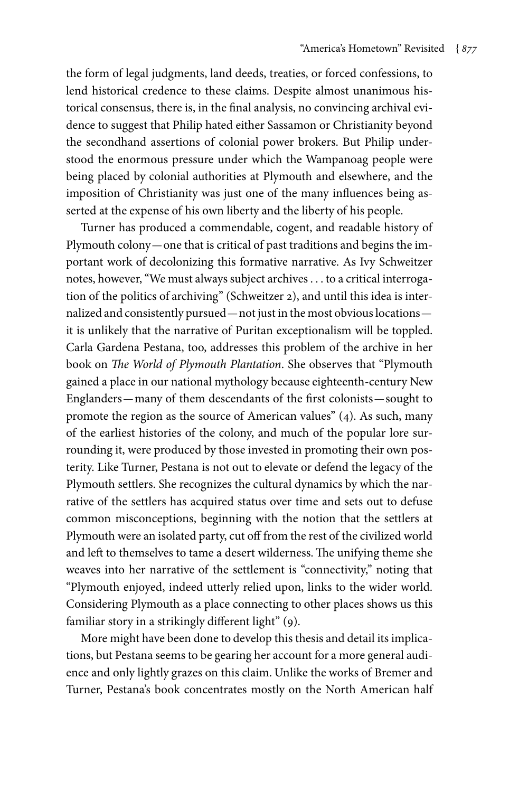the form of legal judgments, land deeds, treaties, or forced confessions, to lend historical credence to these claims. Despite almost unanimous historical consensus, there is, in the final analysis, no convincing archival evidence to suggest that Philip hated either Sassamon or Christianity beyond the secondhand assertions of colonial power brokers. But Philip understood the enormous pressure under which the Wampanoag people were being placed by colonial authorities at Plymouth and elsewhere, and the imposition of Christianity was just one of the many influences being asserted at the expense of his own liberty and the liberty of his people.

Turner has produced a commendable, cogent, and readable history of Plymouth colony—one that is critical of past traditions and begins the important work of decolonizing this formative narrative. As Ivy Schweitzer notes, however, "We must always subject archives . . . to a critical interrogation of the politics of archiving" (Schweitzer 2), and until this idea is internalized and consistently pursued—not just in the most obvious locations it is unlikely that the narrative of Puritan exceptionalism will be toppled. Carla Gardena Pestana, too, addresses this problem of the archive in her book on *The World of Plymouth Plantation*. She observes that "Plymouth gained a place in our national mythology because eighteenth-century New Englanders—many of them descendants of the first colonists—sought to promote the region as the source of American values" (4). As such, many of the earliest histories of the colony, and much of the popular lore surrounding it, were produced by those invested in promoting their own posterity. Like Turner, Pestana is not out to elevate or defend the legacy of the Plymouth settlers. She recognizes the cultural dynamics by which the narrative of the settlers has acquired status over time and sets out to defuse common misconceptions, beginning with the notion that the settlers at Plymouth were an isolated party, cut off from the rest of the civilized world and left to themselves to tame a desert wilderness. The unifying theme she weaves into her narrative of the settlement is "connectivity," noting that "Plymouth enjoyed, indeed utterly relied upon, links to the wider world. Considering Plymouth as a place connecting to other places shows us this familiar story in a strikingly different light" (9).

More might have been done to develop this thesis and detail its implications, but Pestana seems to be gearing her account for a more general audience and only lightly grazes on this claim. Unlike the works of Bremer and Turner, Pestana's book concentrates mostly on the North American half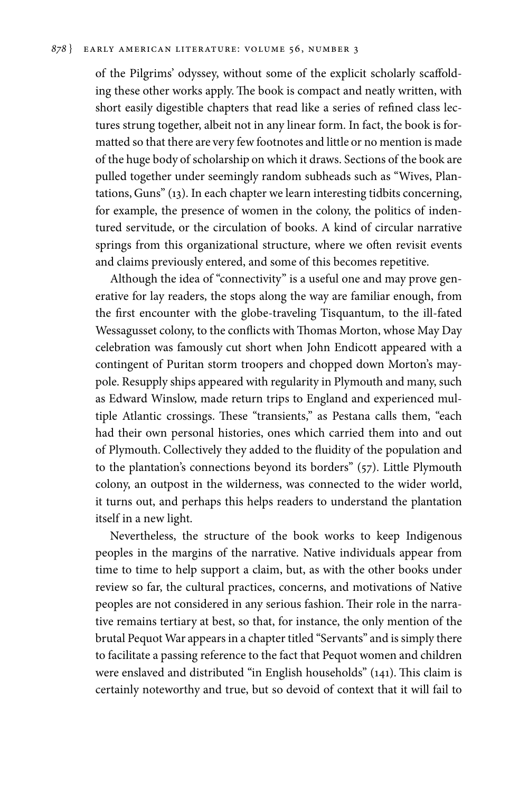of the Pilgrims' odyssey, without some of the explicit scholarly scaffolding these other works apply. The book is compact and neatly written, with short easily digestible chapters that read like a series of refined class lectures strung together, albeit not in any linear form. In fact, the book is formatted so that there are very few footnotes and little or no mention is made of the huge body of scholarship on which it draws. Sections of the book are pulled together under seemingly random subheads such as "Wives, Plantations, Guns" (13). In each chapter we learn interesting tidbits concerning, for example, the presence of women in the colony, the politics of indentured servitude, or the circulation of books. A kind of circular narrative springs from this organizational structure, where we often revisit events and claims previously entered, and some of this becomes repetitive.

Although the idea of "connectivity" is a useful one and may prove generative for lay readers, the stops along the way are familiar enough, from the first encounter with the globe-traveling Tisquantum, to the ill-fated Wessagusset colony, to the conflicts with Thomas Morton, whose May Day celebration was famously cut short when John Endicott appeared with a contingent of Puritan storm troopers and chopped down Morton's maypole. Resupply ships appeared with regularity in Plymouth and many, such as Edward Winslow, made return trips to England and experienced multiple Atlantic crossings. These "transients," as Pestana calls them, "each had their own personal histories, ones which carried them into and out of Plymouth. Collectively they added to the fluidity of the population and to the plantation's connections beyond its borders" (57). Little Plymouth colony, an outpost in the wilderness, was connected to the wider world, it turns out, and perhaps this helps readers to understand the plantation itself in a new light.

Nevertheless, the structure of the book works to keep Indigenous peoples in the margins of the narrative. Native individuals appear from time to time to help support a claim, but, as with the other books under review so far, the cultural practices, concerns, and motivations of Native peoples are not considered in any serious fashion. Their role in the narrative remains tertiary at best, so that, for instance, the only mention of the brutal Pequot War appears in a chapter titled "Servants" and is simply there to facilitate a passing reference to the fact that Pequot women and children were enslaved and distributed "in English households" (141). This claim is certainly noteworthy and true, but so devoid of context that it will fail to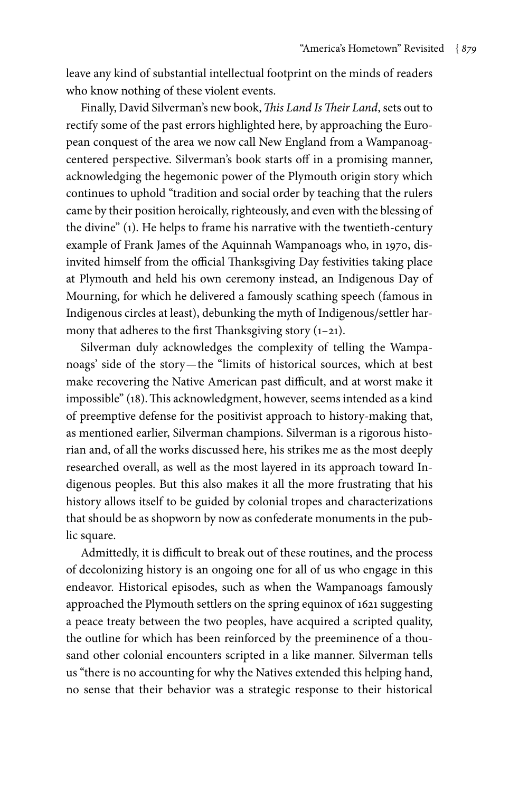leave any kind of substantial intellectual footprint on the minds of readers who know nothing of these violent events.

Finally, David Silverman's new book, *This Land Is Their Land*, sets out to rectify some of the past errors highlighted here, by approaching the European conquest of the area we now call New England from a Wampanoagcentered perspective. Silverman's book starts off in a promising manner, acknowledging the hegemonic power of the Plymouth origin story which continues to uphold "tradition and social order by teaching that the rulers came by their position heroically, righteously, and even with the blessing of the divine" (1). He helps to frame his narrative with the twentieth-century example of Frank James of the Aquinnah Wampanoags who, in 1970, disinvited himself from the official Thanksgiving Day festivities taking place at Plymouth and held his own ceremony instead, an Indigenous Day of Mourning, for which he delivered a famously scathing speech (famous in Indigenous circles at least), debunking the myth of Indigenous/settler harmony that adheres to the first Thanksgiving story (1-21).

Silverman duly acknowledges the complexity of telling the Wampanoags' side of the story—the "limits of historical sources, which at best make recovering the Native American past difficult, and at worst make it impossible" (18). This acknowledgment, however, seems intended as a kind of preemptive defense for the positivist approach to history-making that, as mentioned earlier, Silverman champions. Silverman is a rigorous historian and, of all the works discussed here, his strikes me as the most deeply researched overall, as well as the most layered in its approach toward Indigenous peoples. But this also makes it all the more frustrating that his history allows itself to be guided by colonial tropes and characterizations that should be as shopworn by now as confederate monuments in the public square.

Admittedly, it is difficult to break out of these routines, and the process of decolonizing history is an ongoing one for all of us who engage in this endeavor. Historical episodes, such as when the Wampanoags famously approached the Plymouth settlers on the spring equinox of 1621 suggesting a peace treaty between the two peoples, have acquired a scripted quality, the outline for which has been reinforced by the preeminence of a thousand other colonial encounters scripted in a like manner. Silverman tells us "there is no accounting for why the Natives extended this helping hand, no sense that their behavior was a strategic response to their historical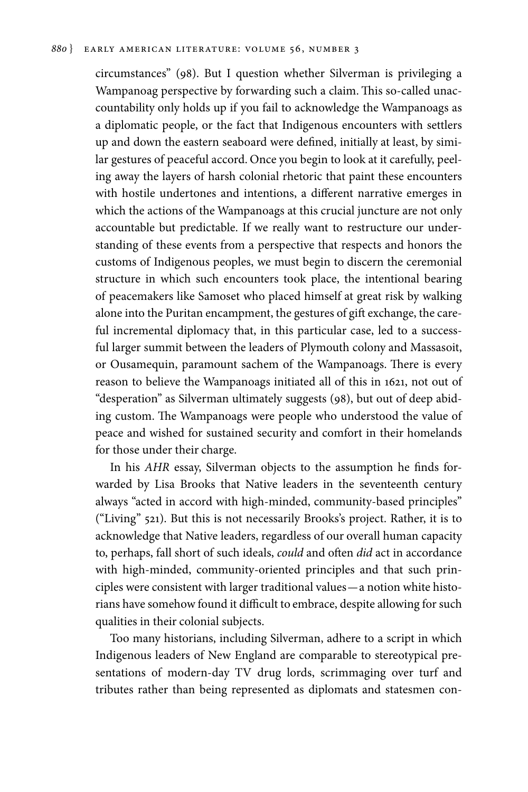#### *880* } EARLY AMERICAN LITERATURE: VOLUME 56, Number 3

circumstances" (98). But I question whether Silverman is privileging a Wampanoag perspective by forwarding such a claim. This so-called unaccountability only holds up if you fail to acknowledge the Wampanoags as a diplomatic people, or the fact that Indigenous encounters with settlers up and down the eastern seaboard were defined, initially at least, by similar gestures of peaceful accord. Once you begin to look at it carefully, peeling away the layers of harsh colonial rhetoric that paint these encounters with hostile undertones and intentions, a different narrative emerges in which the actions of the Wampanoags at this crucial juncture are not only accountable but predictable. If we really want to restructure our understanding of these events from a perspective that respects and honors the customs of Indigenous peoples, we must begin to discern the ceremonial structure in which such encounters took place, the intentional bearing of peacemakers like Samoset who placed himself at great risk by walking alone into the Puritan encampment, the gestures of gift exchange, the careful incremental diplomacy that, in this particular case, led to a successful larger summit between the leaders of Plymouth colony and Massasoit, or Ousamequin, paramount sachem of the Wampanoags. There is every reason to believe the Wampanoags initiated all of this in 1621, not out of "desperation" as Silverman ultimately suggests (98), but out of deep abiding custom. The Wampanoags were people who understood the value of peace and wished for sustained security and comfort in their homelands for those under their charge.

In his *AHR* essay, Silverman objects to the assumption he finds forwarded by Lisa Brooks that Native leaders in the seventeenth century always "acted in accord with high-minded, community-based principles" ("Living" 521). But this is not necessarily Brooks's project. Rather, it is to acknowledge that Native leaders, regardless of our overall human capacity to, perhaps, fall short of such ideals, *could* and often *did* act in accordance with high-minded, community-oriented principles and that such principles were consistent with larger traditional values—a notion white historians have somehow found it difficult to embrace, despite allowing for such qualities in their colonial subjects.

Too many historians, including Silverman, adhere to a script in which Indigenous leaders of New England are comparable to stereotypical presentations of modern-day TV drug lords, scrimmaging over turf and tributes rather than being represented as diplomats and statesmen con-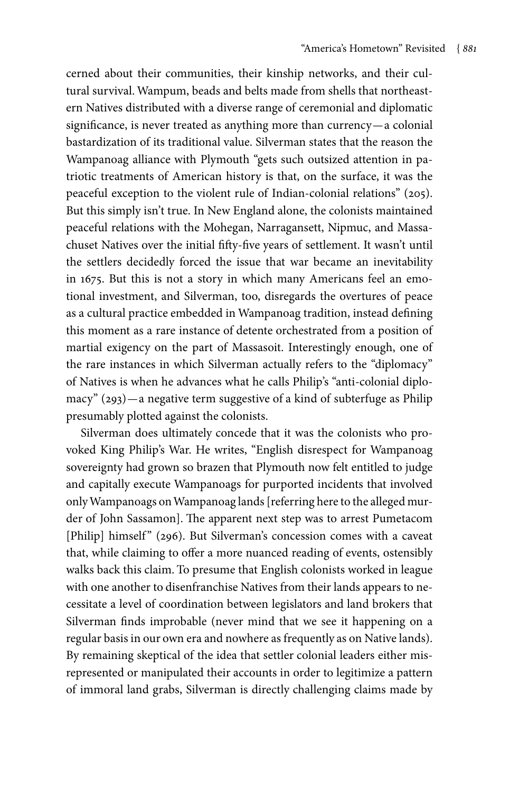cerned about their communities, their kinship networks, and their cultural survival. Wampum, beads and belts made from shells that northeastern Natives distributed with a diverse range of ceremonial and diplomatic significance, is never treated as anything more than currency—a colonial bastardization of its traditional value. Silverman states that the reason the Wampanoag alliance with Plymouth "gets such outsized attention in patriotic treatments of American history is that, on the surface, it was the peaceful exception to the violent rule of Indian-colonial relations" (205). But this simply isn't true. In New England alone, the colonists maintained peaceful relations with the Mohegan, Narragansett, Nipmuc, and Massachuset Natives over the initial fifty-five years of settlement. It wasn't until the settlers decidedly forced the issue that war became an inevitability in 1675. But this is not a story in which many Americans feel an emotional investment, and Silverman, too, disregards the overtures of peace as a cultural practice embedded in Wampanoag tradition, instead defining this moment as a rare instance of detente orchestrated from a position of martial exigency on the part of Massasoit. Interestingly enough, one of the rare instances in which Silverman actually refers to the "diplomacy" of Natives is when he advances what he calls Philip's "anti-colonial diplomacy" (293)—a negative term suggestive of a kind of subterfuge as Philip presumably plotted against the colonists.

Silverman does ultimately concede that it was the colonists who provoked King Philip's War. He writes, "English disrespect for Wampanoag sovereignty had grown so brazen that Plymouth now felt entitled to judge and capitally execute Wampanoags for purported incidents that involved only Wampanoags on Wampanoag lands [referring here to the alleged murder of John Sassamon]. The apparent next step was to arrest Pumetacom [Philip] himself" (296). But Silverman's concession comes with a caveat that, while claiming to offer a more nuanced reading of events, ostensibly walks back this claim. To presume that English colonists worked in league with one another to disenfranchise Natives from their lands appears to necessitate a level of coordination between legislators and land brokers that Silverman finds improbable (never mind that we see it happening on a regular basis in our own era and nowhere as frequently as on Native lands). By remaining skeptical of the idea that settler colonial leaders either misrepresented or manipulated their accounts in order to legitimize a pattern of immoral land grabs, Silverman is directly challenging claims made by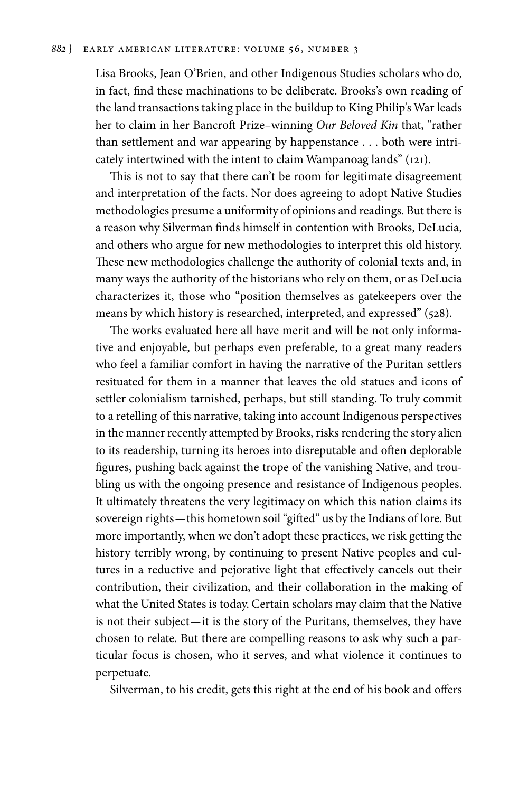Lisa Brooks, Jean O'Brien, and other Indigenous Studies scholars who do, in fact, find these machinations to be deliberate. Brooks's own reading of the land transactions taking place in the buildup to King Philip's War leads her to claim in her Bancroft Prize–winning *Our Beloved Kin* that, "rather than settlement and war appearing by happenstance . . . both were intricately intertwined with the intent to claim Wampanoag lands" (121).

This is not to say that there can't be room for legitimate disagreement and interpretation of the facts. Nor does agreeing to adopt Native Studies methodologies presume a uniformity of opinions and readings. But there is a reason why Silverman finds himself in contention with Brooks, DeLucia, and others who argue for new methodologies to interpret this old history. These new methodologies challenge the authority of colonial texts and, in many ways the authority of the historians who rely on them, or as DeLucia characterizes it, those who "position themselves as gatekeepers over the means by which history is researched, interpreted, and expressed" (528).

The works evaluated here all have merit and will be not only informative and enjoyable, but perhaps even preferable, to a great many readers who feel a familiar comfort in having the narrative of the Puritan settlers resituated for them in a manner that leaves the old statues and icons of settler colonialism tarnished, perhaps, but still standing. To truly commit to a retelling of this narrative, taking into account Indigenous perspectives in the manner recently attempted by Brooks, risks rendering the story alien to its readership, turning its heroes into disreputable and often deplorable figures, pushing back against the trope of the vanishing Native, and troubling us with the ongoing presence and resistance of Indigenous peoples. It ultimately threatens the very legitimacy on which this nation claims its sovereign rights—this hometown soil "gifted" us by the Indians of lore. But more importantly, when we don't adopt these practices, we risk getting the history terribly wrong, by continuing to present Native peoples and cultures in a reductive and pejorative light that effectively cancels out their contribution, their civilization, and their collaboration in the making of what the United States is today. Certain scholars may claim that the Native is not their subject—it is the story of the Puritans, themselves, they have chosen to relate. But there are compelling reasons to ask why such a particular focus is chosen, who it serves, and what violence it continues to perpetuate.

Silverman, to his credit, gets this right at the end of his book and offers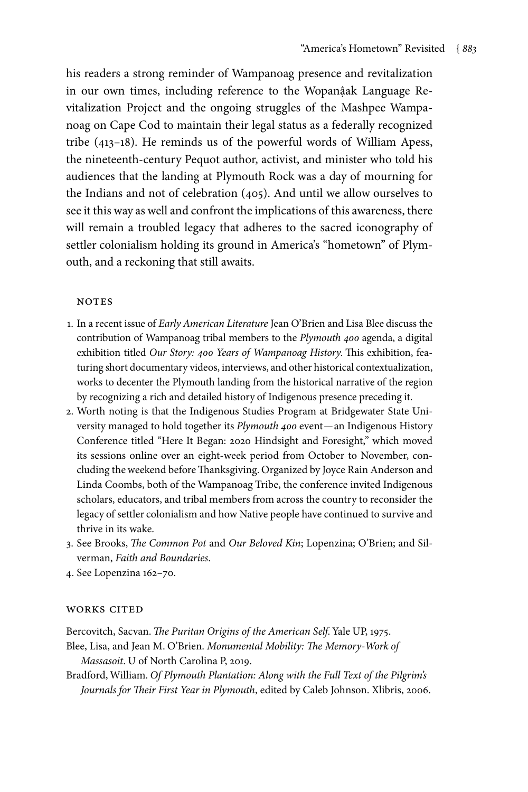his readers a strong reminder of Wampanoag presence and revitalization in our own times, including reference to the Wopanậak Language Revitalization Project and the ongoing struggles of the Mashpee Wampanoag on Cape Cod to maintain their legal status as a federally recognized tribe (413–18). He reminds us of the powerful words of William Apess, the nineteenth-century Pequot author, activist, and minister who told his audiences that the landing at Plymouth Rock was a day of mourning for the Indians and not of celebration (405). And until we allow ourselves to see it this way as well and confront the implications of this awareness, there will remain a troubled legacy that adheres to the sacred iconography of settler colonialism holding its ground in America's "hometown" of Plymouth, and a reckoning that still awaits.

#### **NOTES**

- 1. In a recent issue of *Early American Literature* Jean O'Brien and Lisa Blee discuss the contribution of Wampanoag tribal members to the *Plymouth 400* agenda, a digital exhibition titled *Our Story: 400 Years of Wampanoag History*. This exhibition, featuring short documentary videos, interviews, and other historical contextualization, works to decenter the Plymouth landing from the historical narrative of the region by recognizing a rich and detailed history of Indigenous presence preceding it.
- 2. Worth noting is that the Indigenous Studies Program at Bridgewater State University managed to hold together its *Plymouth 400* event—an Indigenous History Conference titled "Here It Began: 2020 Hindsight and Foresight," which moved its sessions online over an eight-week period from October to November, concluding the weekend before Thanksgiving. Organized by Joyce Rain Anderson and Linda Coombs, both of the Wampanoag Tribe, the conference invited Indigenous scholars, educators, and tribal members from across the country to reconsider the legacy of settler colonialism and how Native people have continued to survive and thrive in its wake.
- 3. See Brooks, *The Common Pot* and *Our Beloved Kin*; Lopenzina; O'Brien; and Silverman, *Faith and Boundaries*.
- 4. See Lopenzina 162–70.

#### works cited

Bercovitch, Sacvan. *The Puritan Origins of the American Self*. Yale UP, 1975.

- Blee, Lisa, and Jean M. O'Brien. *Monumental Mobility: The Memory-Work of Massasoit*. U of North Carolina P, 2019.
- Bradford, William. *Of Plymouth Plantation: Along with the Full Text of the Pilgrim's Journals for Their First Year in Plymouth*, edited by Caleb Johnson. Xlibris, 2006.